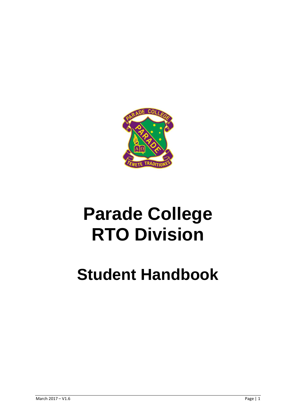

# **Parade College RTO Division**

## **Student Handbook**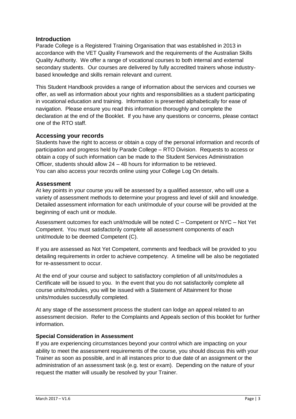#### **Introduction**

Parade College is a Registered Training Organisation that was established in 2013 in accordance with the VET Quality Framework and the requirements of the Australian Skills Quality Authority. We offer a range of vocational courses to both internal and external secondary students. Our courses are delivered by fully accredited trainers whose industrybased knowledge and skills remain relevant and current.

This Student Handbook provides a range of information about the services and courses we offer, as well as information about your rights and responsibilities as a student participating in vocational education and training. Information is presented alphabetically for ease of navigation. Please ensure you read this information thoroughly and complete the declaration at the end of the Booklet. If you have any questions or concerns, please contact one of the RTO staff.

#### **Accessing your records**

Students have the right to access or obtain a copy of the personal information and records of participation and progress held by Parade College – RTO Division. Requests to access or obtain a copy of such information can be made to the Student Services Administration Officer, students should allow 24 – 48 hours for information to be retrieved. You can also access your records online using your College Log On details.

#### **Assessment**

At key points in your course you will be assessed by a qualified assessor, who will use a variety of assessment methods to determine your progress and level of skill and knowledge. Detailed assessment information for each unit/module of your course will be provided at the beginning of each unit or module.

Assessment outcomes for each unit/module will be noted C – Competent or NYC – Not Yet Competent. You must satisfactorily complete all assessment components of each unit/module to be deemed Competent (C).

If you are assessed as Not Yet Competent, comments and feedback will be provided to you detailing requirements in order to achieve competency. A timeline will be also be negotiated for re-assessment to occur.

At the end of your course and subject to satisfactory completion of all units/modules a Certificate will be issued to you. In the event that you do not satisfactorily complete all course units/modules, you will be issued with a Statement of Attainment for those units/modules successfully completed.

At any stage of the assessment process the student can lodge an appeal related to an assessment decision. Refer to the Complaints and Appeals section of this booklet for further information.

#### **Special Consideration in Assessment**

If you are experiencing circumstances beyond your control which are impacting on your ability to meet the assessment requirements of the course, you should discuss this with your Trainer as soon as possible, and in all instances prior to due date of an assignment or the administration of an assessment task (e.g. test or exam). Depending on the nature of your request the matter will usually be resolved by your Trainer.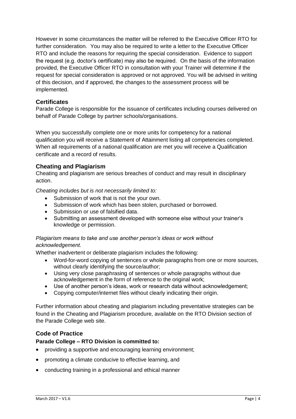However in some circumstances the matter will be referred to the Executive Officer RTO for further consideration. You may also be required to write a letter to the Executive Officer RTO and include the reasons for requiring the special consideration. Evidence to support the request (e.g. doctor's certificate) may also be required. On the basis of the information provided, the Executive Officer RTO in consultation with your Trainer will determine if the request for special consideration is approved or not approved. You will be advised in writing of this decision, and if approved, the changes to the assessment process will be implemented.

#### **Certificates**

Parade College is responsible for the issuance of certificates including courses delivered on behalf of Parade College by partner schools/organisations.

When you successfully complete one or more units for competency for a national qualification you will receive a Statement of Attainment listing all competencies completed. When all requirements of a national qualification are met you will receive a Qualification certificate and a record of results.

#### **Cheating and Plagiarism**

Cheating and plagiarism are serious breaches of conduct and may result in disciplinary action.

*Cheating includes but is not necessarily limited to:*

- Submission of work that is not the your own.
- Submission of work which has been stolen, purchased or borrowed.
- Submission or use of falsified data.
- Submitting an assessment developed with someone else without your trainer's knowledge or permission.

#### *Plagiarism means to take and use another person's ideas or work without acknowledgement.*

Whether inadvertent or deliberate plagiarism includes the following:

- Word-for-word copying of sentences or whole paragraphs from one or more sources, without clearly identifying the source/author;
- Using very close paraphrasing of sentences or whole paragraphs without due acknowledgement in the form of reference to the original work;
- Use of another person's ideas, work or research data without acknowledgement;
- Copying computer/internet files without clearly indicating their origin.

Further information about cheating and plagiarism including preventative strategies can be found in the Cheating and Plagiarism procedure, available on the RTO Division section of the Parade College web site.

#### **Code of Practice**

#### **Parade College – RTO Division is committed to:**

- providing a supportive and encouraging learning environment;
- promoting a climate conducive to effective learning, and
- conducting training in a professional and ethical manner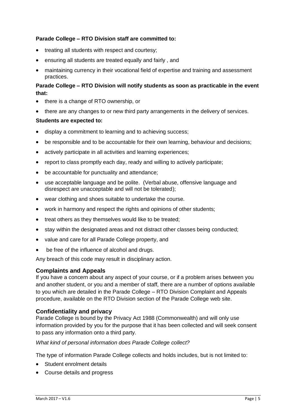#### **Parade College – RTO Division staff are committed to:**

- treating all students with respect and courtesy:
- ensuring all students are treated equally and fairly , and
- maintaining currency in their vocational field of expertise and training and assessment practices.

#### **Parade College – RTO Division will notify students as soon as practicable in the event that:**

- there is a change of RTO ownership, or
- there are any changes to or new third party arrangements in the delivery of services.

#### **Students are expected to:**

- display a commitment to learning and to achieving success;
- be responsible and to be accountable for their own learning, behaviour and decisions;
- actively participate in all activities and learning experiences;
- report to class promptly each day, ready and willing to actively participate;
- be accountable for punctuality and attendance;
- use acceptable language and be polite. (Verbal abuse, offensive language and disrespect are unacceptable and will not be tolerated);
- wear clothing and shoes suitable to undertake the course.
- work in harmony and respect the rights and opinions of other students;
- treat others as they themselves would like to be treated;
- stay within the designated areas and not distract other classes being conducted:
- value and care for all Parade College property, and
- be free of the influence of alcohol and drugs.

Any breach of this code may result in disciplinary action.

#### **Complaints and Appeals**

If you have a concern about any aspect of your course, or if a problem arises between you and another student, or you and a member of staff, there are a number of options available to you which are detailed in the Parade College – RTO Division Complaint and Appeals procedure, available on the RTO Division section of the Parade College web site.

#### **Confidentiality and privacy**

Parade College is bound by the Privacy Act 1988 (Commonwealth) and will only use information provided by you for the purpose that it has been collected and will seek consent to pass any information onto a third party.

#### *What kind of personal information does Parade College collect?*

The type of information Parade College collects and holds includes, but is not limited to:

- Student enrolment details
- Course details and progress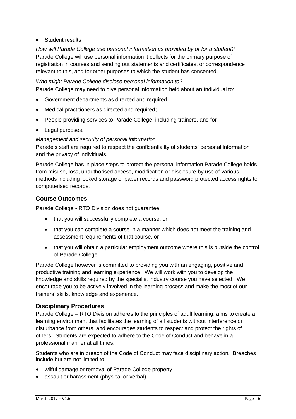#### Student results

*How will Parade College use personal information as provided by or for a student?* Parade College will use personal information it collects for the primary purpose of registration in courses and sending out statements and certificates, or correspondence relevant to this, and for other purposes to which the student has consented.

#### *Who might Parade College disclose personal information to?*

Parade College may need to give personal information held about an individual to:

- Government departments as directed and required;
- Medical practitioners as directed and required;
- People providing services to Parade College, including trainers, and for
- Legal purposes.

*Management and security of personal information*

Parade's staff are required to respect the confidentiality of students' personal information and the privacy of individuals.

Parade College has in place steps to protect the personal information Parade College holds from misuse, loss, unauthorised access, modification or disclosure by use of various methods including locked storage of paper records and password protected access rights to computerised records.

#### **Course Outcomes**

Parade College - RTO Division does not guarantee:

- that you will successfully complete a course, or
- that you can complete a course in a manner which does not meet the training and assessment requirements of that course, or
- that you will obtain a particular employment outcome where this is outside the control of Parade College.

Parade College however is committed to providing you with an engaging, positive and productive training and learning experience. We will work with you to develop the knowledge and skills required by the specialist industry course you have selected. We encourage you to be actively involved in the learning process and make the most of our trainers' skills, knowledge and experience.

#### **Disciplinary Procedures**

Parade College – RTO Division adheres to the principles of adult learning, aims to create a learning environment that facilitates the learning of all students without interference or disturbance from others, and encourages students to respect and protect the rights of others. Students are expected to adhere to the Code of Conduct and behave in a professional manner at all times.

Students who are in breach of the Code of Conduct may face disciplinary action. Breaches include but are not limited to:

- wilful damage or removal of Parade College property
- assault or harassment (physical or verbal)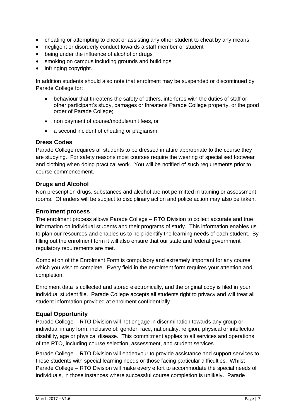- cheating or attempting to cheat or assisting any other student to cheat by any means
- negligent or disorderly conduct towards a staff member or student
- being under the influence of alcohol or drugs
- smoking on campus including grounds and buildings
- infringing copyright.

In addition students should also note that enrolment may be suspended or discontinued by Parade College for:

- behaviour that threatens the safety of others, interferes with the duties of staff or other participant's study, damages or threatens Parade College property, or the good order of Parade College;
- non payment of course/module/unit fees, or
- a second incident of cheating or plagiarism.

#### **Dress Codes**

Parade College requires all students to be dressed in attire appropriate to the course they are studying. For safety reasons most courses require the wearing of specialised footwear and clothing when doing practical work. You will be notified of such requirements prior to course commencement.

#### **Drugs and Alcohol**

Non prescription drugs, substances and alcohol are not permitted in training or assessment rooms. Offenders will be subject to disciplinary action and police action may also be taken.

#### **Enrolment process**

The enrolment process allows Parade College – RTO Division to collect accurate and true information on individual students and their programs of study. This information enables us to plan our resources and enables us to help identify the learning needs of each student. By filling out the enrolment form it will also ensure that our state and federal government regulatory requirements are met.

Completion of the Enrolment Form is compulsory and extremely important for any course which you wish to complete. Every field in the enrolment form requires your attention and completion.

Enrolment data is collected and stored electronically, and the original copy is filed in your individual student file. Parade College accepts all students right to privacy and will treat all student information provided at enrolment confidentially.

#### **Equal Opportunity**

Parade College – RTO Division will not engage in discrimination towards any group or individual in any form, inclusive of: gender, race, nationality, religion, physical or intellectual disability, age or physical disease. This commitment applies to all services and operations of the RTO, including course selection, assessment, and student services.

Parade College – RTO Division will endeavour to provide assistance and support services to those students with special learning needs or those facing particular difficulties. Whilst Parade College – RTO Division will make every effort to accommodate the special needs of individuals, in those instances where successful course completion is unlikely. Parade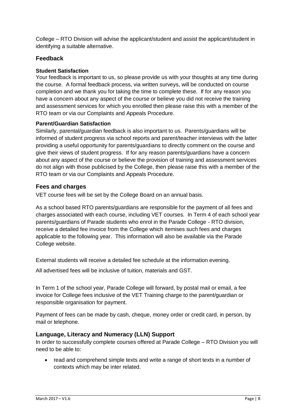College – RTO Division will advise the applicant/student and assist the applicant/student in identifying a suitable alternative.

#### **Feedback**

#### **Student Satisfaction**

Your feedback is important to us, so please provide us with your thoughts at any time during the course. A formal feedback process, via written surveys, will be conducted on course completion and we thank you for taking the time to complete these. If for any reason you have a concern about any aspect of the course or believe you did not receive the training and assessment services for which you enrolled then please raise this with a member of the RTO team or via our Complaints and Appeals Procedure.

#### **Parent/Guardian Satisfaction**

Similarly, parental/guardian feedback is also important to us. Parents/guardians will be informed of student progress via school reports and parent/teacher interviews with the latter providing a useful opportunity for parents/guardians to directly comment on the course and give their views of student progress. If for any reason parents/guardians have a concern about any aspect of the course or believe the provision of training and assessment services do not align with those publicised by the College, then please raise this with a member of the RTO team or via our Complaints and Appeals Procedure.

#### **Fees and charges**

VET course fees will be set by the College Board on an annual basis.

As a school based RTO parents/guardians are responsible for the payment of all fees and charges associated with each course, including VET courses. In Term 4 of each school year parents/guardians of Parade students who enrol in the Parade College - RTO division, receive a detailed fee invoice from the College which itemises such fees and charges applicable to the following year. This information will also be available via the Parade College website.

External students will receive a detailed fee schedule at the information evening.

All advertised fees will be inclusive of tuition, materials and GST.

In Term 1 of the school year, Parade College will forward, by postal mail or email, a fee invoice for College fees inclusive of the VET Training charge to the parent/guardian or responsible organisation for payment.

Payment of fees can be made by cash, cheque, money order or credit card, in person, by mail or telephone.

#### **Language, Literacy and Numeracy (LLN) Support**

In order to successfully complete courses offered at Parade College – RTO Division you will need to be able to:

• read and comprehend simple texts and write a range of short texts in a number of contexts which may be inter related.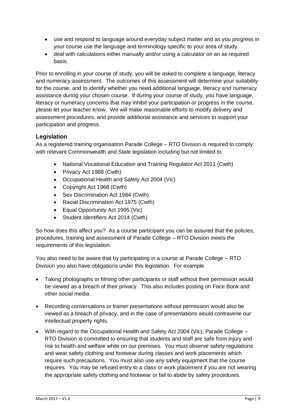- use and respond to language around everyday subject matter and as you progress in your course use the language and terminology specific to your area of study.
- deal with calculations either manually and/or using a calculator on an as required basis.

Prior to enrolling in your course of study, you will be asked to complete a language, literacy and numeracy assessment. The outcomes of this assessment will determine your suitability for the course, and to identify whether you need additional language, literacy and numeracy assistance during your chosen course. If during your course of study, you have language, literacy or numeracy concerns that may inhibit your participation or progress in the course, please let your teacher know. We will make reasonable efforts to modify delivery and assessment procedures, and provide additional assistance and services to support your participation and progress.

#### **Legislation**

As a registered training organisation Parade College – RTO Division is required to comply with relevant Commonwealth and State legislation including but not limited to:

- National Vocational Education and Training Regulator Act 2011 (Cwth)
- Privacy Act 1988 (Cwth)
- Occupational Health and Safety Act 2004 (Vic)
- Copyright Act 1968 (Cwth)
- Sex Discrimination Act 1984 (Cwth)
- Racial Discrimination Act 1975 (Cwth)
- Equal Opportunity Act 1995 (Vic)
- Student Identifiers Act 2014 (Cwth)

So how does this affect you? As a course participant you can be assured that the policies, procedures, training and assessment of Parade College – RTO Division meets the requirements of this legislation.

You also need to be aware that by participating in a course at Parade College – RTO Division you also have obligations under this legislation. For example

- Taking photographs or filming other participants or staff without their permission would be viewed as a breach of their privacy. This also includes posting on Face Book and other social media.
- Recording conversations or trainer presentations without permission would also be viewed as a breach of privacy, and in the case of presentations would contravene our intellectual property rights.
- With regard to the Occupational Health and Safety Act 2004 (Vic), Parade College RTO Division is committed to ensuring that students and staff are safe from injury and risk to health and welfare while on our premises. You must observe safety regulations and wear safety clothing and footwear during classes and work placements which require such precautions. You must also use any safety equipment that the course requires. You may be refused entry to a class or work placement if you are not wearing the appropriate safety clothing and footwear or fail to abide by safety procedures.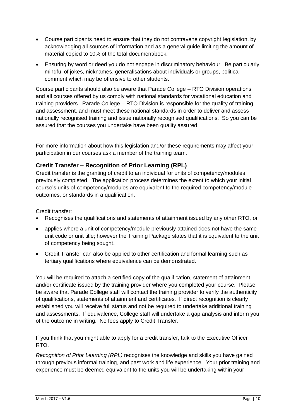- Course participants need to ensure that they do not contravene copyright legislation, by acknowledging all sources of information and as a general guide limiting the amount of material copied to 10% of the total document/book.
- Ensuring by word or deed you do not engage in discriminatory behaviour. Be particularly mindful of jokes, nicknames, generalisations about individuals or groups, political comment which may be offensive to other students.

Course participants should also be aware that Parade College – RTO Division operations and all courses offered by us comply with national standards for vocational education and training providers. Parade College – RTO Division is responsible for the quality of training and assessment, and must meet these national standards in order to deliver and assess nationally recognised training and issue nationally recognised qualifications. So you can be assured that the courses you undertake have been quality assured.

For more information about how this legislation and/or these requirements may affect your participation in our courses ask a member of the training team.

#### **Credit Transfer – Recognition of Prior Learning (RPL)**

Credit transfer is the granting of credit to an individual for units of competency/modules previously completed. The application process determines the extent to which your initial course's units of competency/modules are equivalent to the required competency/module outcomes, or standards in a qualification.

Credit transfer:

- Recognises the qualifications and statements of attainment issued by any other RTO, or
- applies where a unit of competency/module previously attained does not have the same unit code or unit title; however the Training Package states that it is equivalent to the unit of competency being sought.
- Credit Transfer can also be applied to other certification and formal learning such as tertiary qualifications where equivalence can be demonstrated.

You will be required to attach a certified copy of the qualification, statement of attainment and/or certificate issued by the training provider where you completed your course. Please be aware that Parade College staff will contact the training provider to verify the authenticity of qualifications, statements of attainment and certificates. If direct recognition is clearly established you will receive full status and not be required to undertake additional training and assessments. If equivalence, College staff will undertake a gap analysis and inform you of the outcome in writing. No fees apply to Credit Transfer.

If you think that you might able to apply for a credit transfer, talk to the Executive Officer RTO.

*Recognition of Prior Learning (RPL)* recognises the knowledge and skills you have gained through previous informal training, and past work and life experience. Your prior training and experience must be deemed equivalent to the units you will be undertaking within your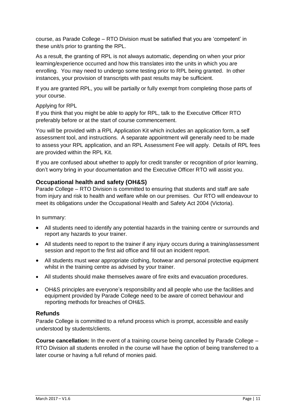course, as Parade College – RTO Division must be satisfied that you are 'competent' in these unit/s prior to granting the RPL.

As a result, the granting of RPL is not always automatic, depending on when your prior learning/experience occurred and how this translates into the units in which you are enrolling. You may need to undergo some testing prior to RPL being granted. In other instances, your provision of transcripts with past results may be sufficient.

If you are granted RPL, you will be partially or fully exempt from completing those parts of your course.

#### Applying for RPL

If you think that you might be able to apply for RPL, talk to the Executive Officer RTO preferably before or at the start of course commencement.

You will be provided with a RPL Application Kit which includes an application form, a self assessment tool, and instructions. A separate appointment will generally need to be made to assess your RPL application, and an RPL Assessment Fee will apply. Details of RPL fees are provided within the RPL Kit.

If you are confused about whether to apply for credit transfer or recognition of prior learning, don't worry bring in your documentation and the Executive Officer RTO will assist you.

#### **Occupational health and safety (OH&S)**

Parade College – RTO Division is committed to ensuring that students and staff are safe from injury and risk to health and welfare while on our premises. Our RTO will endeavour to meet its obligations under the Occupational Health and Safety Act 2004 (Victoria).

In summary:

- All students need to identify any potential hazards in the training centre or surrounds and report any hazards to your trainer.
- All students need to report to the trainer if any injury occurs during a training/assessment session and report to the first aid office and fill out an incident report.
- All students must wear appropriate clothing, footwear and personal protective equipment whilst in the training centre as advised by your trainer.
- All students should make themselves aware of fire exits and evacuation procedures.
- OH&S principles are everyone's responsibility and all people who use the facilities and equipment provided by Parade College need to be aware of correct behaviour and reporting methods for breaches of OH&S.

#### **Refunds**

Parade College is committed to a refund process which is prompt, accessible and easily understood by students/clients.

**Course cancellation:** In the event of a training course being cancelled by Parade College – RTO Division all students enrolled in the course will have the option of being transferred to a later course or having a full refund of monies paid.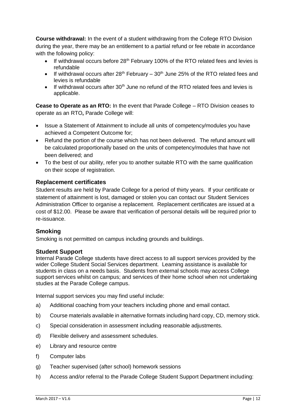**Course withdrawal:** In the event of a student withdrawing from the College RTO Division during the year, there may be an entitlement to a partial refund or fee rebate in accordance with the following policy:

- If withdrawal occurs before  $28<sup>th</sup>$  February 100% of the RTO related fees and levies is refundable
- If withdrawal occurs after 28<sup>th</sup> February 30<sup>th</sup> June 25% of the RTO related fees and levies is refundable
- $\bullet$  If withdrawal occurs after 30<sup>th</sup> June no refund of the RTO related fees and levies is applicable.

**Cease to Operate as an RTO:** In the event that Parade College – RTO Division ceases to operate as an RTO**,** Parade College will:

- Issue a Statement of Attainment to include all units of competency/modules you have achieved a Competent Outcome for;
- Refund the portion of the course which has not been delivered. The refund amount will be calculated proportionally based on the units of competency/modules that have not been delivered; and
- To the best of our ability, refer you to another suitable RTO with the same qualification on their scope of registration.

#### **Replacement certificates**

Student results are held by Parade College for a period of thirty years. If your certificate or statement of attainment is lost, damaged or stolen you can contact our Student Services Administration Officer to organise a replacement. Replacement certificates are issued at a cost of \$12.00. Please be aware that verification of personal details will be required prior to re-issuance.

#### **Smoking**

Smoking is not permitted on campus including grounds and buildings.

#### **Student Support**

Internal Parade College students have direct access to all support services provided by the wider College Student Social Services department. Learning assistance is available for students in class on a needs basis. Students from external schools may access College support services whilst on campus; and services of their home school when not undertaking studies at the Parade College campus.

Internal support services you may find useful include:

- a) Additional coaching from your teachers including phone and email contact.
- b) Course materials available in alternative formats including hard copy, CD, memory stick.
- c) Special consideration in assessment including reasonable adjustments.
- d) Flexible delivery and assessment schedules.
- e) Library and resource centre
- f) Computer labs
- g) Teacher supervised (after school) homework sessions
- h) Access and/or referral to the Parade College Student Support Department including: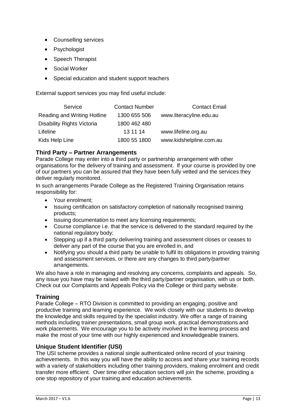- Counselling services
- **Psychologist**
- Speech Therapist
- Social Worker
- Special education and student support teachers

External support services you may find useful include:

| Service                           | <b>Contact Number</b> | <b>Contact Email</b>    |
|-----------------------------------|-----------------------|-------------------------|
| Reading and Writing Hotline       | 1300 655 506          | www.literacyline.edu.au |
| <b>Disability Rights Victoria</b> | 1800 462 480          |                         |
| Lifeline                          | 13 11 14              | www.lifeline.org.au     |
| Kids Help Line                    | 1800 55 1800          | www.kidshelpline.com.au |

#### **Third Party – Partner Arrangements**

Parade College may enter into a third party or partnership arrangement with other organisations for the delivery of training and assessment. If your course is provided by one of our partners you can be assured that they have been fully vetted and the services they deliver regularly monitored.

In such arrangements Parade College as the Registered Training Organisation retains responsibility for:

- Your enrolment:
- Issuing certification on satisfactory completion of nationally recognised training products;
- Issuing documentation to meet any licensing requirements;
- Course compliance i.e. that the service is delivered to the standard required by the national regulatory body;
- Stepping up if a third party delivering training and assessment closes or ceases to deliver any part of the course that you are enrolled in, and
- Notifying you should a third party be unable to fulfil its obligations in providing training and assessment services, or there are any changes to third party/partner arrangements.

We also have a role in managing and resolving any concerns, complaints and appeals. So, any issue you have may be raised with the third party/partner organisation, with us or both. Check out our Complaints and Appeals Policy via the College or third party website.

#### **Training**

Parade College – RTO Division is committed to providing an engaging, positive and productive training and learning experience. We work closely with our students to develop the knowledge and skills required by the specialist industry. We offer a range of training methods including trainer presentations, small group work, practical demonstrations and work placements. We encourage you to be actively involved in the learning process and make the most of your time with our highly experienced and knowledgeable trainers.

#### **Unique Student Identifier (USI)**

The USI scheme provides a national single authenticated online record of your training achievements. In this way you will have the ability to access and share your training records with a variety of stakeholders including other training providers, making enrolment and credit transfer more efficient. Over time other education sectors will join the scheme, providing a one stop repository of your training and education achievements.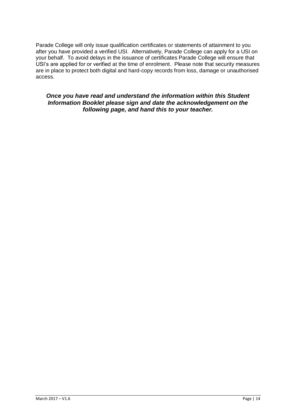Parade College will only issue qualification certificates or statements of attainment to you after you have provided a verified USI. Alternatively, Parade College can apply for a USI on your behalf. To avoid delays in the issuance of certificates Parade College will ensure that USI's are applied for or verified at the time of enrolment. Please note that security measures are in place to protect both digital and hard-copy records from loss, damage or unauthorised access.

#### *Once you have read and understand the information within this Student Information Booklet please sign and date the acknowledgement on the following page, and hand this to your teacher.*